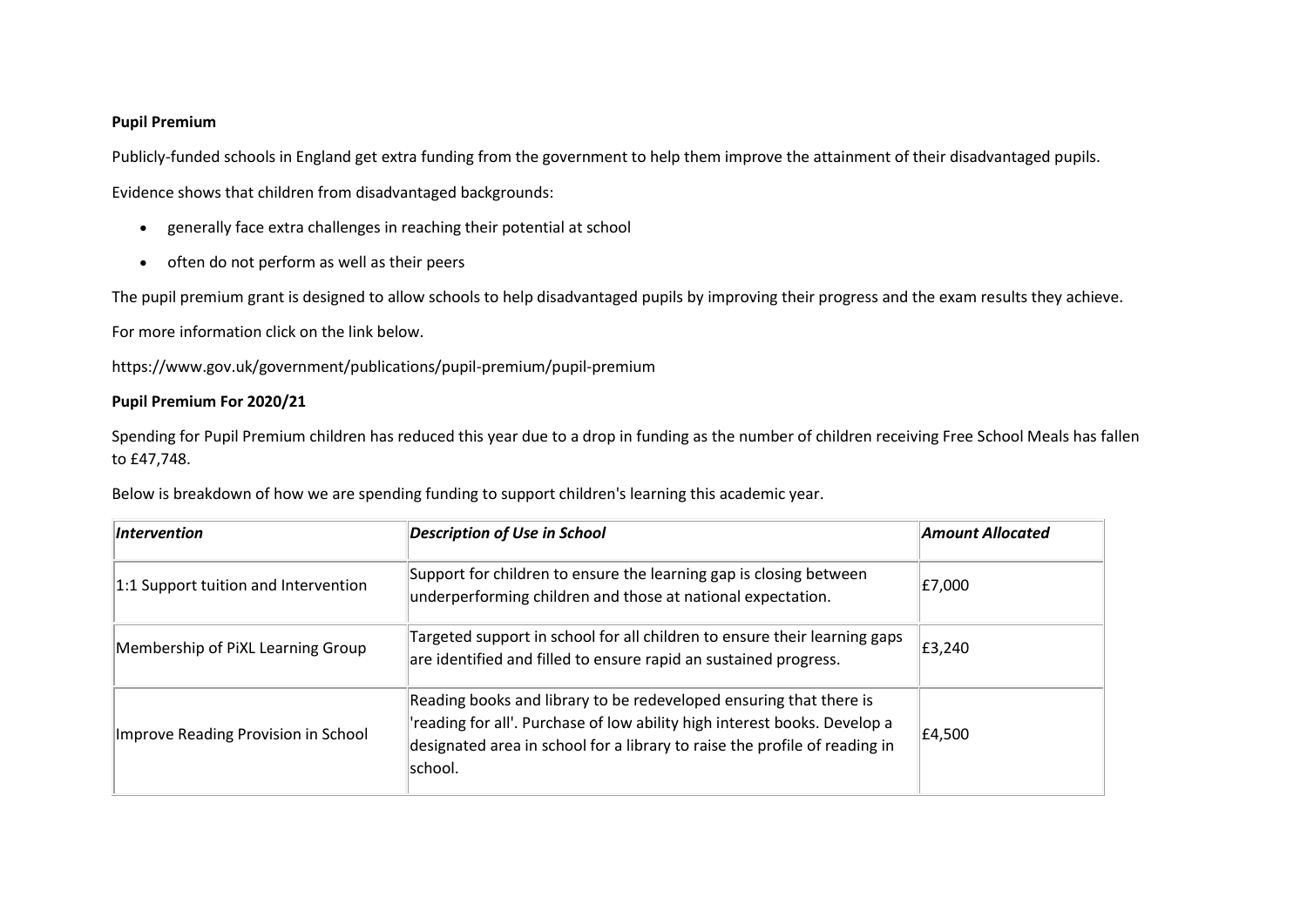## **Pupil Premium**

Publicly-funded schools in England get extra funding from the government to help them improve the attainment of their disadvantaged pupils.

Evidence shows that children from disadvantaged backgrounds:

- generally face extra challenges in reaching their potential at school
- often do not perform as well as their peers

The pupil premium grant is designed to allow schools to help disadvantaged pupils by improving their progress and the exam results they achieve.

For more information click on the link below.

https://www.gov.uk/government/publications/pupil-premium/pupil-premium

## **Pupil Premium For 2020/21**

Spending for Pupil Premium children has reduced this year due to a drop in funding as the number of children receiving Free School Meals has fallen to £47,748.

Below is breakdown of how we are spending funding to support children's learning this academic year.

| Intervention                         | <b>Description of Use in School</b>                                                                                                                                                                                                      | <b>Amount Allocated</b> |
|--------------------------------------|------------------------------------------------------------------------------------------------------------------------------------------------------------------------------------------------------------------------------------------|-------------------------|
| 1:1 Support tuition and Intervention | Support for children to ensure the learning gap is closing between<br>underperforming children and those at national expectation.                                                                                                        | E7,000                  |
| Membership of PiXL Learning Group    | Targeted support in school for all children to ensure their learning gaps<br>are identified and filled to ensure rapid an sustained progress.                                                                                            | £3,240                  |
| Improve Reading Provision in School  | Reading books and library to be redeveloped ensuring that there is<br>'reading for all'. Purchase of low ability high interest books. Develop a<br>designated area in school for a library to raise the profile of reading in<br>school. | £4,500                  |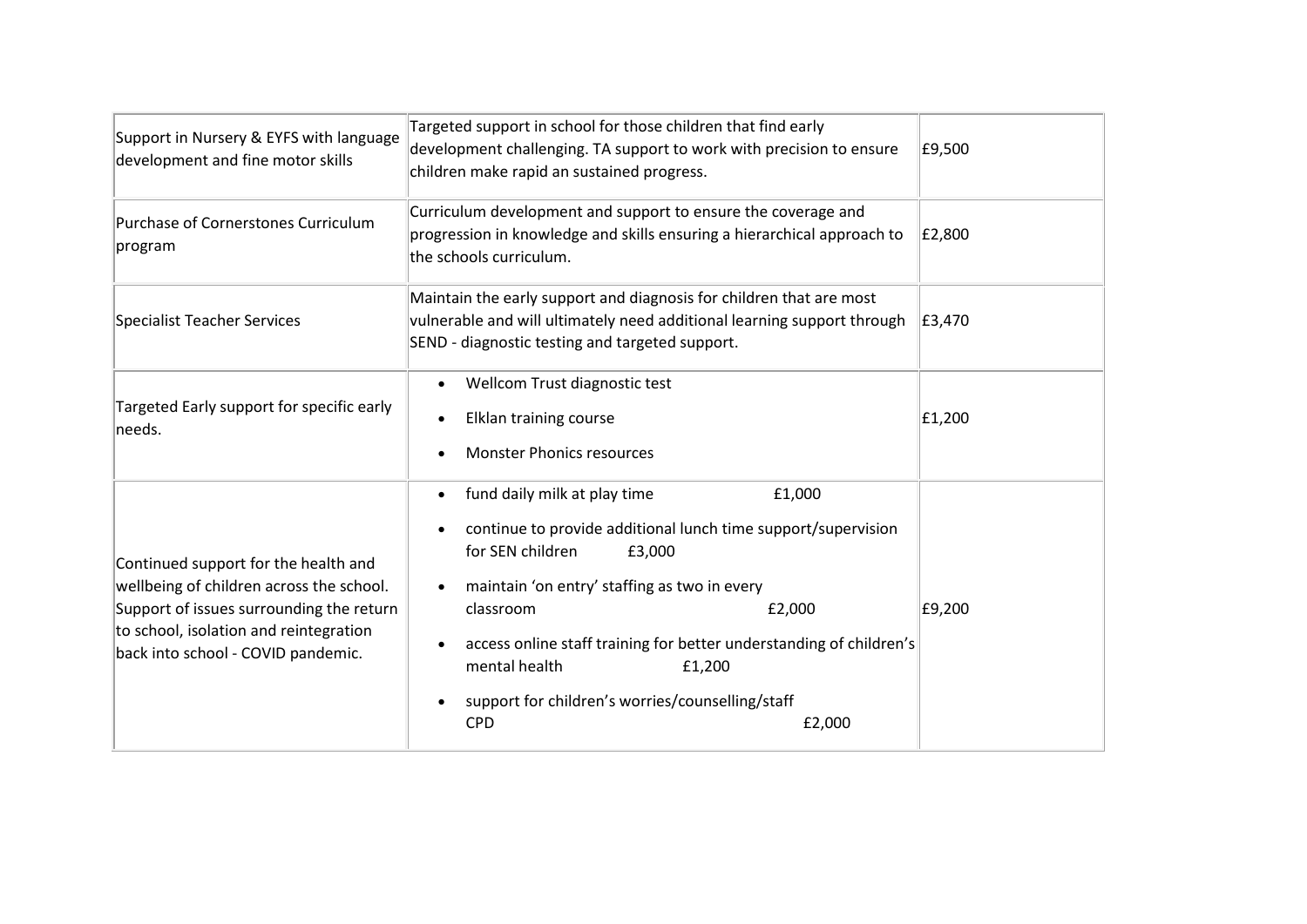| Support in Nursery & EYFS with language<br>development and fine motor skills                                                                                                                                 | Targeted support in school for those children that find early<br>development challenging. TA support to work with precision to ensure<br>children make rapid an sustained progress.                                                                                                                                                                                                                                  | £9,500 |
|--------------------------------------------------------------------------------------------------------------------------------------------------------------------------------------------------------------|----------------------------------------------------------------------------------------------------------------------------------------------------------------------------------------------------------------------------------------------------------------------------------------------------------------------------------------------------------------------------------------------------------------------|--------|
| Purchase of Cornerstones Curriculum<br>program                                                                                                                                                               | Curriculum development and support to ensure the coverage and<br>progression in knowledge and skills ensuring a hierarchical approach to<br>the schools curriculum.                                                                                                                                                                                                                                                  | £2,800 |
| <b>Specialist Teacher Services</b>                                                                                                                                                                           | Maintain the early support and diagnosis for children that are most<br>vulnerable and will ultimately need additional learning support through<br>SEND - diagnostic testing and targeted support.                                                                                                                                                                                                                    | £3,470 |
| Targeted Early support for specific early<br>needs.                                                                                                                                                          | Wellcom Trust diagnostic test<br>$\bullet$<br>Elklan training course<br>$\bullet$<br><b>Monster Phonics resources</b>                                                                                                                                                                                                                                                                                                | £1,200 |
| Continued support for the health and<br>wellbeing of children across the school.<br>Support of issues surrounding the return<br>to school, isolation and reintegration<br>back into school - COVID pandemic. | fund daily milk at play time<br>£1,000<br>$\bullet$<br>continue to provide additional lunch time support/supervision<br>for SEN children<br>£3,000<br>maintain 'on entry' staffing as two in every<br>classroom<br>£2,000<br>access online staff training for better understanding of children's<br>mental health<br>£1,200<br>support for children's worries/counselling/staff<br>$\bullet$<br><b>CPD</b><br>£2,000 | E9,200 |